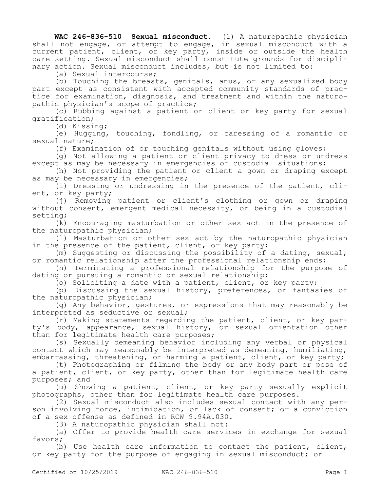**WAC 246-836-510 Sexual misconduct.** (1) A naturopathic physician shall not engage, or attempt to engage, in sexual misconduct with a current patient, client, or key party, inside or outside the health care setting. Sexual misconduct shall constitute grounds for disciplinary action. Sexual misconduct includes, but is not limited to:

(a) Sexual intercourse;

(b) Touching the breasts, genitals, anus, or any sexualized body part except as consistent with accepted community standards of practice for examination, diagnosis, and treatment and within the naturopathic physician's scope of practice;

(c) Rubbing against a patient or client or key party for sexual gratification;

(d) Kissing;

(e) Hugging, touching, fondling, or caressing of a romantic or sexual nature;

(f) Examination of or touching genitals without using gloves;

(g) Not allowing a patient or client privacy to dress or undress except as may be necessary in emergencies or custodial situations;

(h) Not providing the patient or client a gown or draping except as may be necessary in emergencies;

(i) Dressing or undressing in the presence of the patient, client, or key party;

(j) Removing patient or client's clothing or gown or draping without consent, emergent medical necessity, or being in a custodial setting;

(k) Encouraging masturbation or other sex act in the presence of the naturopathic physician;

(l) Masturbation or other sex act by the naturopathic physician in the presence of the patient, client, or key party;

(m) Suggesting or discussing the possibility of a dating, sexual, or romantic relationship after the professional relationship ends;

(n) Terminating a professional relationship for the purpose of dating or pursuing a romantic or sexual relationship;

(o) Soliciting a date with a patient, client, or key party;

(p) Discussing the sexual history, preferences, or fantasies of the naturopathic physician;

(q) Any behavior, gestures, or expressions that may reasonably be interpreted as seductive or sexual;

(r) Making statements regarding the patient, client, or key party's body, appearance, sexual history, or sexual orientation other than for legitimate health care purposes;

(s) Sexually demeaning behavior including any verbal or physical contact which may reasonably be interpreted as demeaning, humiliating, embarrassing, threatening, or harming a patient, client, or key party;

(t) Photographing or filming the body or any body part or pose of a patient, client, or key party, other than for legitimate health care purposes; and

(u) Showing a patient, client, or key party sexually explicit photographs, other than for legitimate health care purposes.

(2) Sexual misconduct also includes sexual contact with any person involving force, intimidation, or lack of consent; or a conviction of a sex offense as defined in RCW 9.94A.030.

(3) A naturopathic physician shall not:

(a) Offer to provide health care services in exchange for sexual favors;

(b) Use health care information to contact the patient, client, or key party for the purpose of engaging in sexual misconduct; or